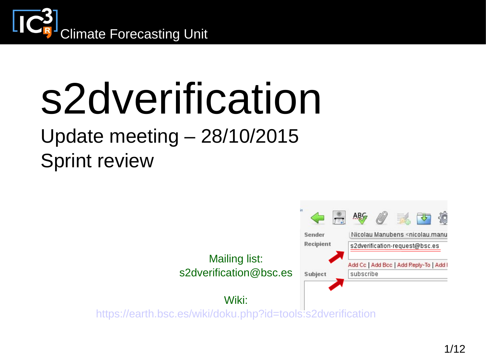

# s2dverification

#### Update meeting – 28/10/2015 Sprint review

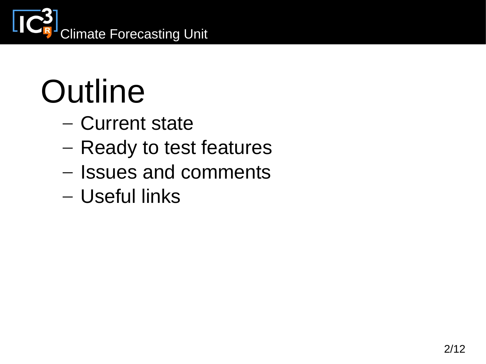

# **Outline**

- Current state
- Ready to test features
- Issues and comments
- Useful links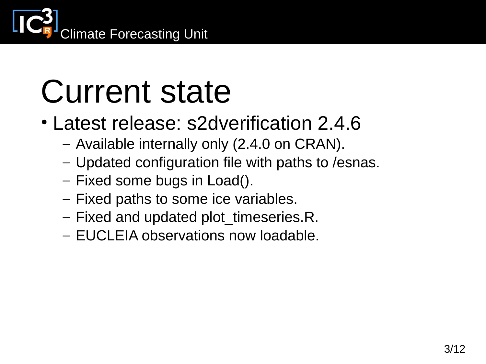

### Current state

- Latest release: s2dverification 2.4.6
	- Available internally only (2.4.0 on CRAN).
	- Updated configuration file with paths to /esnas.
	- Fixed some bugs in Load().
	- Fixed paths to some ice variables.
	- Fixed and updated plot timeseries.R.
	- EUCLEIA observations now loadable.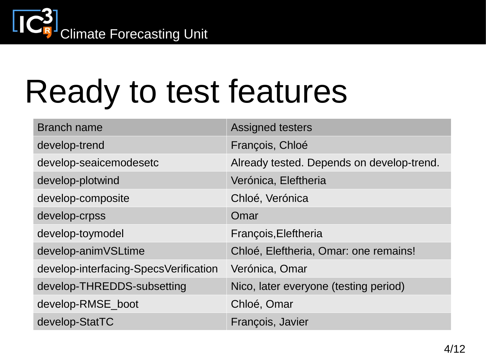

# Ready to test features

| <b>Branch name</b>                    | <b>Assigned testers</b>                   |
|---------------------------------------|-------------------------------------------|
| develop-trend                         | François, Chloé                           |
| develop-seaicemodesetc                | Already tested. Depends on develop-trend. |
| develop-plotwind                      | Verónica, Eleftheria                      |
| develop-composite                     | Chloé, Verónica                           |
| develop-crpss                         | Omar                                      |
| develop-toymodel                      | François, Eleftheria                      |
| develop-animVSLtime                   | Chloé, Eleftheria, Omar: one remains!     |
| develop-interfacing-SpecsVerification | Verónica, Omar                            |
| develop-THREDDS-subsetting            | Nico, later everyone (testing period)     |
| develop-RMSE boot                     | Chloé, Omar                               |
| develop-StatTC                        | François, Javier                          |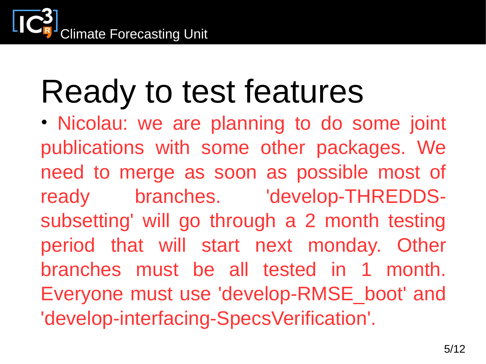# Ready to test features

• Nicolau: we are planning to do some joint publications with some other packages. We need to merge as soon as possible most of ready branches. 'develop-THREDDSsubsetting' will go through a 2 month testing period that will start next monday. Other branches must be all tested in 1 month. Everyone must use 'develop-RMSE\_boot' and 'develop-interfacing-SpecsVerification'.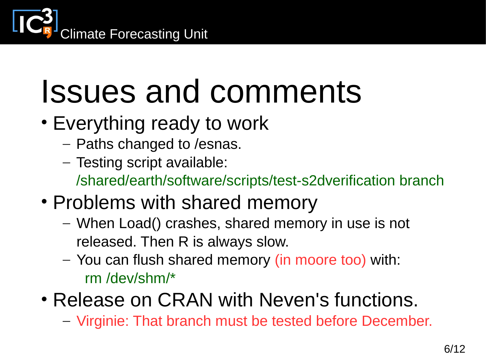

- Everything ready to work
	- Paths changed to /esnas.
	- Testing script available: /shared/earth/software/scripts/test-s2dverification branch
- Problems with shared memory
	- When Load() crashes, shared memory in use is not released. Then R is always slow.
	- You can flush shared memory (in moore too) with: rm /dev/shm/\*
- Release on CRAN with Neven's functions.
	- Virginie: That branch must be tested before December.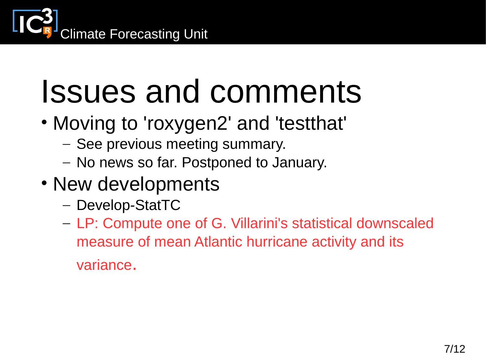

- Moving to 'roxygen2' and 'testthat'
	- See previous meeting summary.
	- No news so far. Postponed to January.
- New developments
	- Develop-StatTC
	- LP: Compute one of G. Villarini's statistical downscaled measure of mean Atlantic hurricane activity and its
		- variance.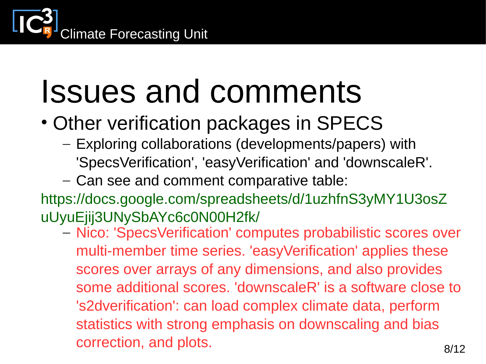

- Other verification packages in SPECS
	- Exploring collaborations (developments/papers) with 'SpecsVerification', 'easyVerification' and 'downscaleR'.
	- Can see and comment comparative table:

[https://docs.google.com/spreadsheets/d/1uzhfnS3yMY1U3osZ](https://docs.google.com/spreadsheets/d/1uzhfnS3yMY1U3osZuUyuEjij3UNySbAYc6c0N00H2fk/) [uUyuEjij3UNySbAYc6c0N00H2fk/](https://docs.google.com/spreadsheets/d/1uzhfnS3yMY1U3osZuUyuEjij3UNySbAYc6c0N00H2fk/)

– Nico: 'SpecsVerification' computes probabilistic scores over multi-member time series. 'easyVerification' applies these scores over arrays of any dimensions, and also provides some additional scores. 'downscaleR' is a software close to 's2dverification': can load complex climate data, perform statistics with strong emphasis on downscaling and bias correction, and plots. 8/12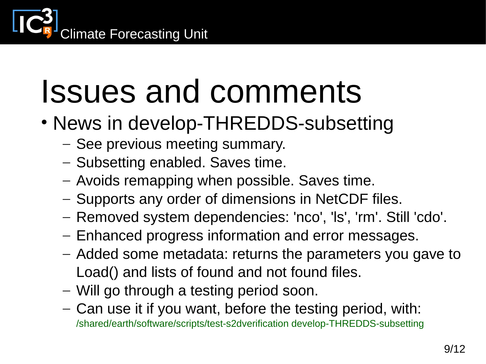

- News in develop-THREDDS-subsetting
	- See previous meeting summary.
	- Subsetting enabled. Saves time.
	- Avoids remapping when possible. Saves time.
	- Supports any order of dimensions in NetCDF files.
	- Removed system dependencies: 'nco', 'ls', 'rm'. Still 'cdo'.
	- Enhanced progress information and error messages.
	- Added some metadata: returns the parameters you gave to Load() and lists of found and not found files.
	- Will go through a testing period soon.
	- Can use it if you want, before the testing period, with: /shared/earth/software/scripts/test-s2dverification develop-THREDDS-subsetting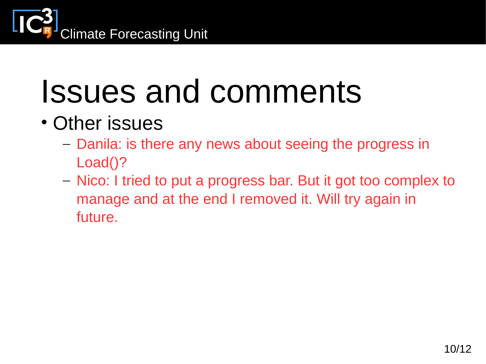

- Other issues
	- Danila: is there any news about seeing the progress in Load()?
	- Nico: I tried to put a progress bar. But it got too complex to manage and at the end I removed it. Will try again in future.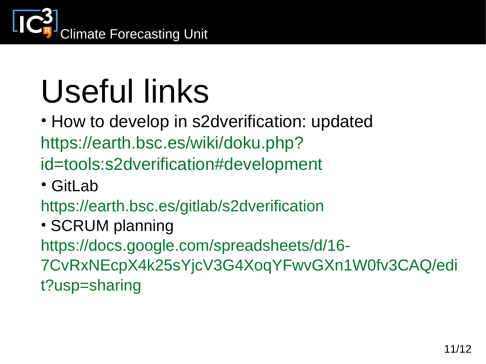

# Useful links

• How to develop in s2dverification: updated https://earth.bsc.es/wiki/doku.php? id=tools:s2dverification#development

• GitLab

https://earth.bsc.es/gitlab/s2dverification

- SCRUM planning https://docs.google.com/spreadsheets/d/16- 7CvRxNEcpX4k25sYjcV3G4XoqYFwvGXn1W0fv3CAQ/edi
- t?usp=sharing